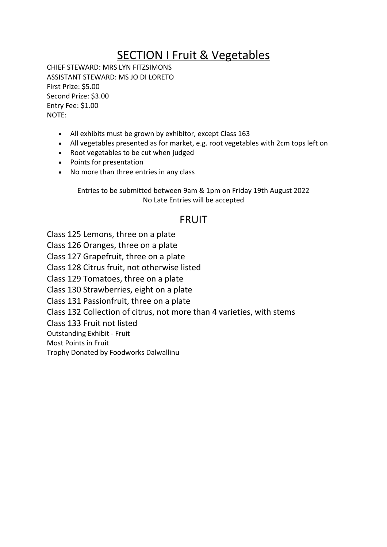## SECTION I Fruit & Vegetables

CHIEF STEWARD: MRS LYN FITZSIMONS ASSISTANT STEWARD: MS JO DI LORETO First Prize: \$5.00 Second Prize: \$3.00 Entry Fee: \$1.00 NOTE:

- All exhibits must be grown by exhibitor, except Class 163
- All vegetables presented as for market, e.g. root vegetables with 2cm tops left on
- Root vegetables to be cut when judged
- Points for presentation
- No more than three entries in any class

Entries to be submitted between 9am & 1pm on Friday 19th August 2022 No Late Entries will be accepted

## FRUIT

Class 125 Lemons, three on a plate

Class 126 Oranges, three on a plate

Class 127 Grapefruit, three on a plate

Class 128 Citrus fruit, not otherwise listed

Class 129 Tomatoes, three on a plate

Class 130 Strawberries, eight on a plate

Class 131 Passionfruit, three on a plate

Class 132 Collection of citrus, not more than 4 varieties, with stems

Class 133 Fruit not listed

Outstanding Exhibit - Fruit

Most Points in Fruit

Trophy Donated by Foodworks Dalwallinu